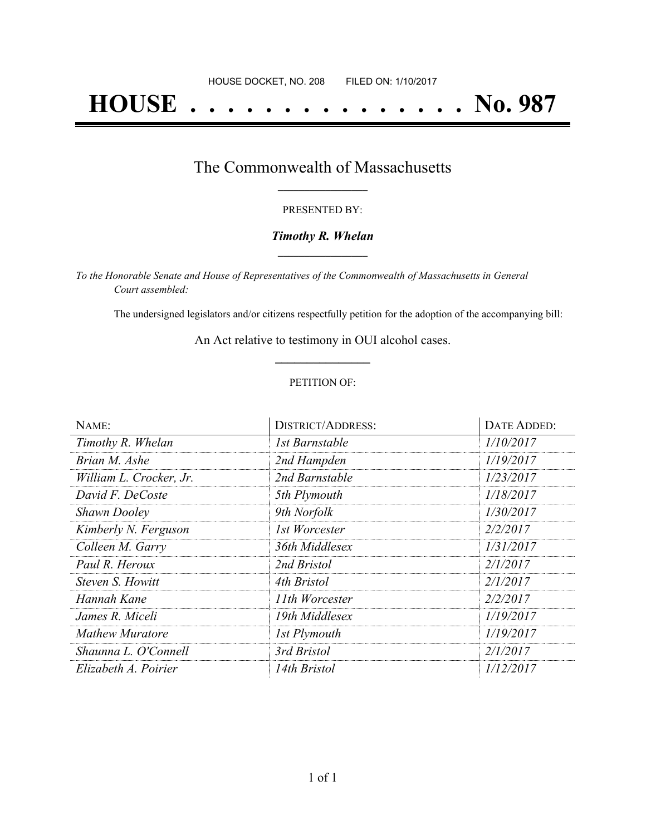# **HOUSE . . . . . . . . . . . . . . . No. 987**

### The Commonwealth of Massachusetts **\_\_\_\_\_\_\_\_\_\_\_\_\_\_\_\_\_**

#### PRESENTED BY:

#### *Timothy R. Whelan* **\_\_\_\_\_\_\_\_\_\_\_\_\_\_\_\_\_**

*To the Honorable Senate and House of Representatives of the Commonwealth of Massachusetts in General Court assembled:*

The undersigned legislators and/or citizens respectfully petition for the adoption of the accompanying bill:

An Act relative to testimony in OUI alcohol cases. **\_\_\_\_\_\_\_\_\_\_\_\_\_\_\_**

#### PETITION OF:

| NAME:                   | <b>DISTRICT/ADDRESS:</b> | DATE ADDED: |
|-------------------------|--------------------------|-------------|
| Timothy R. Whelan       | 1st Barnstable           | 1/10/2017   |
| Brian M. Ashe           | 2nd Hampden              | 1/19/2017   |
| William L. Crocker, Jr. | 2nd Barnstable           | 1/23/2017   |
| David F. DeCoste        | 5th Plymouth             | 1/18/2017   |
| <b>Shawn Dooley</b>     | 9th Norfolk              | 1/30/2017   |
| Kimberly N. Ferguson    | 1st Worcester            | 2/2/2017    |
| Colleen M. Garry        | 36th Middlesex           | 1/31/2017   |
| Paul R. Heroux          | 2nd Bristol              | 2/1/2017    |
| Steven S. Howitt        | 4th Bristol              | 2/1/2017    |
| Hannah Kane             | 11th Worcester           | 2/2/2017    |
| James R. Miceli         | 19th Middlesex           | 1/19/2017   |
| <b>Mathew Muratore</b>  | 1st Plymouth             | 1/19/2017   |
| Shaunna L. O'Connell    | 3rd Bristol              | 2/1/2017    |
| Elizabeth A. Poirier    | 14th Bristol             | 1/12/2017   |